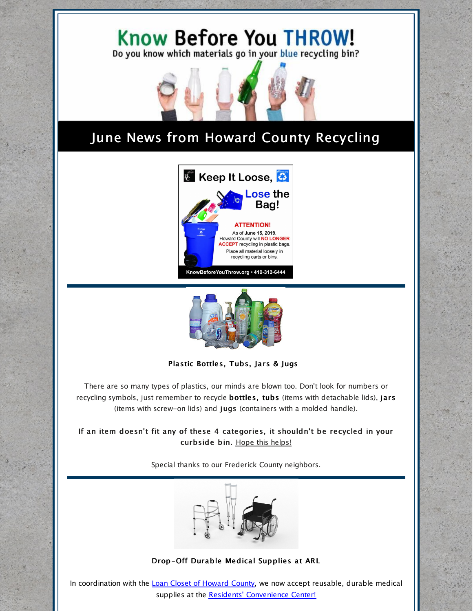

# June News from Howard County Recycling





#### Plastic Bottles, Tubs, Jars & Jugs

There are so many types of plastics, our minds are blown too. Don't look for numbers or recycling symbols, just remember to recycle bottles, tubs (items with detachable lids), jars (items with screw-on lids) and jugs (containers with a molded handle).

If an item doesn't fit any of these 4 categories, it shouldn't be recycled in your curbside bin. Hope this [helps!](https://www.howardcountymd.gov/Departments/Public-Works/Bureau-Of-Environmental-Services/Recycling/Recycling-Collection-Details)

Special thanks to our Frederick County neighbors.



#### Drop-Off Durable Medical Supplies at ARL

In coordination with the Loan Closet of [Howard](https://www.howardcountymd.gov/Departments/Community-Resources-and-Services/Office-on-Aging-and-Independence/Loan-Closet) County, we now accept reusable, durable medical supplies at the Residents' [Convenience](https://www.howardcountymd.gov/Departments/Public-Works/Bureau-Of-Environmental-Services/Alpha-Ridge-Landfill#Residents-Convenience-Center-14) Center!